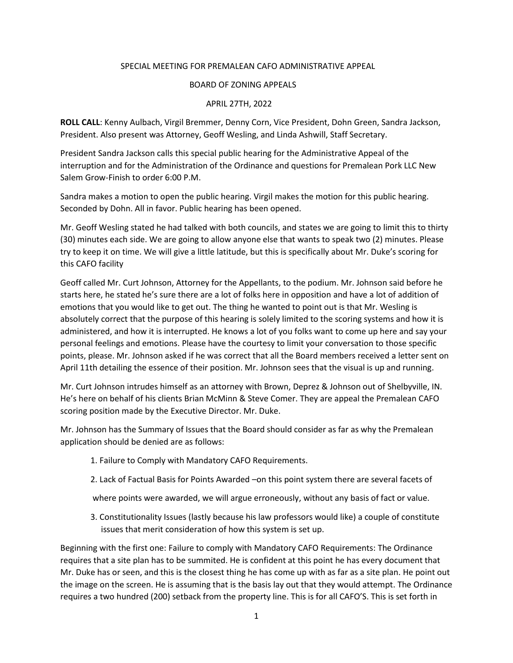## SPECIAL MEETING FOR PREMALEAN CAFO ADMINISTRATIVE APPEAL

## BOARD OF ZONING APPEALS

## APRIL 27TH, 2022

**ROLL CALL**: Kenny Aulbach, Virgil Bremmer, Denny Corn, Vice President, Dohn Green, Sandra Jackson, President. Also present was Attorney, Geoff Wesling, and Linda Ashwill, Staff Secretary.

President Sandra Jackson calls this special public hearing for the Administrative Appeal of the interruption and for the Administration of the Ordinance and questions for Premalean Pork LLC New Salem Grow-Finish to order 6:00 P.M.

Sandra makes a motion to open the public hearing. Virgil makes the motion for this public hearing. Seconded by Dohn. All in favor. Public hearing has been opened.

Mr. Geoff Wesling stated he had talked with both councils, and states we are going to limit this to thirty (30) minutes each side. We are going to allow anyone else that wants to speak two (2) minutes. Please try to keep it on time. We will give a little latitude, but this is specifically about Mr. Duke's scoring for this CAFO facility

Geoff called Mr. Curt Johnson, Attorney for the Appellants, to the podium. Mr. Johnson said before he starts here, he stated he's sure there are a lot of folks here in opposition and have a lot of addition of emotions that you would like to get out. The thing he wanted to point out is that Mr. Wesling is absolutely correct that the purpose of this hearing is solely limited to the scoring systems and how it is administered, and how it is interrupted. He knows a lot of you folks want to come up here and say your personal feelings and emotions. Please have the courtesy to limit your conversation to those specific points, please. Mr. Johnson asked if he was correct that all the Board members received a letter sent on April 11th detailing the essence of their position. Mr. Johnson sees that the visual is up and running.

Mr. Curt Johnson intrudes himself as an attorney with Brown, Deprez & Johnson out of Shelbyville, IN. He's here on behalf of his clients Brian McMinn & Steve Comer. They are appeal the Premalean CAFO scoring position made by the Executive Director. Mr. Duke.

Mr. Johnson has the Summary of Issues that the Board should consider as far as why the Premalean application should be denied are as follows:

- 1. Failure to Comply with Mandatory CAFO Requirements.
- 2. Lack of Factual Basis for Points Awarded –on this point system there are several facets of

where points were awarded, we will argue erroneously, without any basis of fact or value.

3. Constitutionality Issues (lastly because his law professors would like) a couple of constitute issues that merit consideration of how this system is set up.

Beginning with the first one: Failure to comply with Mandatory CAFO Requirements: The Ordinance requires that a site plan has to be summited. He is confident at this point he has every document that Mr. Duke has or seen, and this is the closest thing he has come up with as far as a site plan. He point out the image on the screen. He is assuming that is the basis lay out that they would attempt. The Ordinance requires a two hundred (200) setback from the property line. This is for all CAFO'S. This is set forth in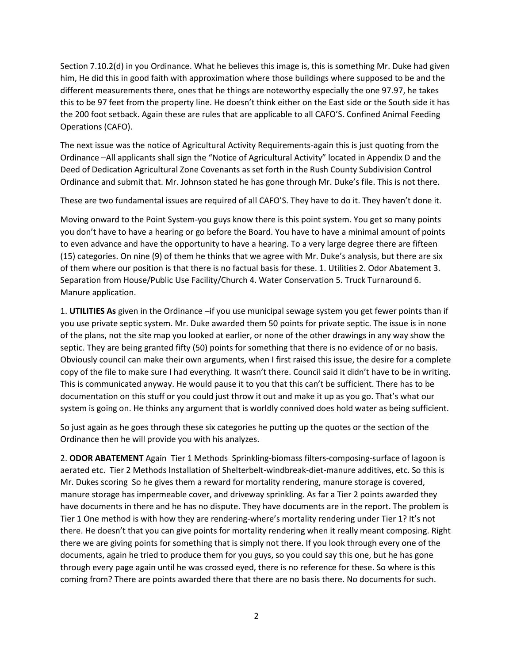Section 7.10.2(d) in you Ordinance. What he believes this image is, this is something Mr. Duke had given him, He did this in good faith with approximation where those buildings where supposed to be and the different measurements there, ones that he things are noteworthy especially the one 97.97, he takes this to be 97 feet from the property line. He doesn't think either on the East side or the South side it has the 200 foot setback. Again these are rules that are applicable to all CAFO'S. Confined Animal Feeding Operations (CAFO).

The next issue was the notice of Agricultural Activity Requirements-again this is just quoting from the Ordinance –All applicants shall sign the "Notice of Agricultural Activity" located in Appendix D and the Deed of Dedication Agricultural Zone Covenants as set forth in the Rush County Subdivision Control Ordinance and submit that. Mr. Johnson stated he has gone through Mr. Duke's file. This is not there.

These are two fundamental issues are required of all CAFO'S. They have to do it. They haven't done it.

Moving onward to the Point System-you guys know there is this point system. You get so many points you don't have to have a hearing or go before the Board. You have to have a minimal amount of points to even advance and have the opportunity to have a hearing. To a very large degree there are fifteen (15) categories. On nine (9) of them he thinks that we agree with Mr. Duke's analysis, but there are six of them where our position is that there is no factual basis for these. 1. Utilities 2. Odor Abatement 3. Separation from House/Public Use Facility/Church 4. Water Conservation 5. Truck Turnaround 6. Manure application.

1. **UTILITIES As** given in the Ordinance –if you use municipal sewage system you get fewer points than if you use private septic system. Mr. Duke awarded them 50 points for private septic. The issue is in none of the plans, not the site map you looked at earlier, or none of the other drawings in any way show the septic. They are being granted fifty (50) points for something that there is no evidence of or no basis. Obviously council can make their own arguments, when I first raised this issue, the desire for a complete copy of the file to make sure I had everything. It wasn't there. Council said it didn't have to be in writing. This is communicated anyway. He would pause it to you that this can't be sufficient. There has to be documentation on this stuff or you could just throw it out and make it up as you go. That's what our system is going on. He thinks any argument that is worldly connived does hold water as being sufficient.

So just again as he goes through these six categories he putting up the quotes or the section of the Ordinance then he will provide you with his analyzes.

2. **ODOR ABATEMENT** Again Tier 1 Methods Sprinkling-biomass filters-composing-surface of lagoon is aerated etc. Tier 2 Methods Installation of Shelterbelt-windbreak-diet-manure additives, etc. So this is Mr. Dukes scoring So he gives them a reward for mortality rendering, manure storage is covered, manure storage has impermeable cover, and driveway sprinkling. As far a Tier 2 points awarded they have documents in there and he has no dispute. They have documents are in the report. The problem is Tier 1 One method is with how they are rendering-where's mortality rendering under Tier 1? It's not there. He doesn't that you can give points for mortality rendering when it really meant composing. Right there we are giving points for something that is simply not there. If you look through every one of the documents, again he tried to produce them for you guys, so you could say this one, but he has gone through every page again until he was crossed eyed, there is no reference for these. So where is this coming from? There are points awarded there that there are no basis there. No documents for such.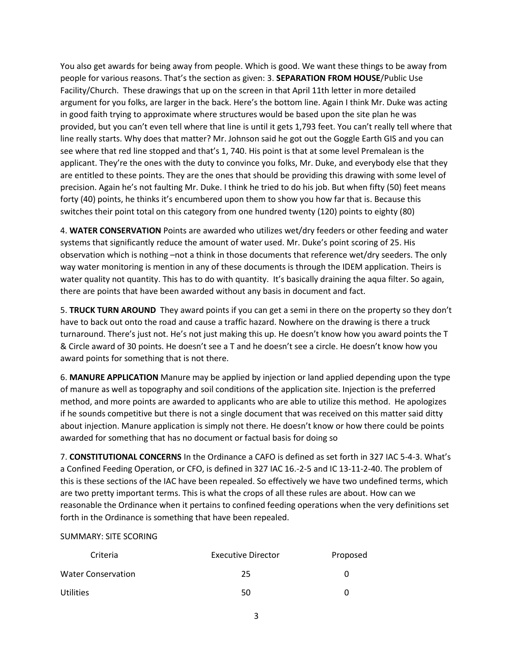You also get awards for being away from people. Which is good. We want these things to be away from people for various reasons. That's the section as given: 3. **SEPARATION FROM HOUSE**/Public Use Facility/Church. These drawings that up on the screen in that April 11th letter in more detailed argument for you folks, are larger in the back. Here's the bottom line. Again I think Mr. Duke was acting in good faith trying to approximate where structures would be based upon the site plan he was provided, but you can't even tell where that line is until it gets 1,793 feet. You can't really tell where that line really starts. Why does that matter? Mr. Johnson said he got out the Goggle Earth GIS and you can see where that red line stopped and that's 1, 740. His point is that at some level Premalean is the applicant. They're the ones with the duty to convince you folks, Mr. Duke, and everybody else that they are entitled to these points. They are the ones that should be providing this drawing with some level of precision. Again he's not faulting Mr. Duke. I think he tried to do his job. But when fifty (50) feet means forty (40) points, he thinks it's encumbered upon them to show you how far that is. Because this switches their point total on this category from one hundred twenty (120) points to eighty (80)

4. **WATER CONSERVATION** Points are awarded who utilizes wet/dry feeders or other feeding and water systems that significantly reduce the amount of water used. Mr. Duke's point scoring of 25. His observation which is nothing –not a think in those documents that reference wet/dry seeders. The only way water monitoring is mention in any of these documents is through the IDEM application. Theirs is water quality not quantity. This has to do with quantity. It's basically draining the aqua filter. So again, there are points that have been awarded without any basis in document and fact.

5. **TRUCK TURN AROUND** They award points if you can get a semi in there on the property so they don't have to back out onto the road and cause a traffic hazard. Nowhere on the drawing is there a truck turnaround. There's just not. He's not just making this up. He doesn't know how you award points the T & Circle award of 30 points. He doesn't see a T and he doesn't see a circle. He doesn't know how you award points for something that is not there.

6. **MANURE APPLICATION** Manure may be applied by injection or land applied depending upon the type of manure as well as topography and soil conditions of the application site. Injection is the preferred method, and more points are awarded to applicants who are able to utilize this method. He apologizes if he sounds competitive but there is not a single document that was received on this matter said ditty about injection. Manure application is simply not there. He doesn't know or how there could be points awarded for something that has no document or factual basis for doing so

7. **CONSTITUTIONAL CONCERNS** In the Ordinance a CAFO is defined as set forth in 327 IAC 5-4-3. What's a Confined Feeding Operation, or CFO, is defined in 327 IAC 16.-2-5 and IC 13-11-2-40. The problem of this is these sections of the IAC have been repealed. So effectively we have two undefined terms, which are two pretty important terms. This is what the crops of all these rules are about. How can we reasonable the Ordinance when it pertains to confined feeding operations when the very definitions set forth in the Ordinance is something that have been repealed.

## SUMMARY: SITE SCORING

| Criteria                  | <b>Executive Director</b> | Proposed     |
|---------------------------|---------------------------|--------------|
| <b>Water Conservation</b> | 25                        | $\mathbf{U}$ |
| <b>Utilities</b>          | 50                        | $\mathbf{U}$ |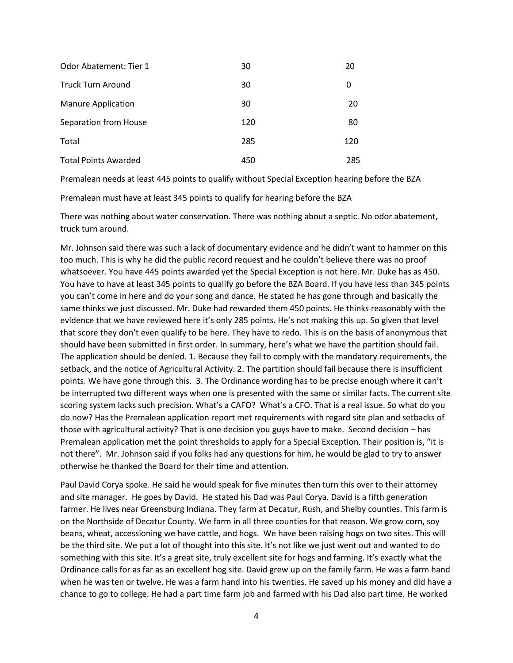| <b>Odor Abatement: Tier 1</b> | 30  | 20  |
|-------------------------------|-----|-----|
| <b>Truck Turn Around</b>      | 30  | 0   |
| <b>Manure Application</b>     | 30  | 20  |
| Separation from House         | 120 | 80  |
| Total                         | 285 | 120 |
| <b>Total Points Awarded</b>   | 450 | 285 |

Premalean needs at least 445 points to qualify without Special Exception hearing before the BZA

Premalean must have at least 345 points to qualify for hearing before the BZA

There was nothing about water conservation. There was nothing about a septic. No odor abatement, truck turn around.

Mr. Johnson said there was such a lack of documentary evidence and he didn't want to hammer on this too much. This is why he did the public record request and he couldn't believe there was no proof whatsoever. You have 445 points awarded yet the Special Exception is not here. Mr. Duke has as 450. You have to have at least 345 points to qualify go before the BZA Board. If you have less than 345 points you can't come in here and do your song and dance. He stated he has gone through and basically the same thinks we just discussed. Mr. Duke had rewarded them 450 points. He thinks reasonably with the evidence that we have reviewed here it's only 285 points. He's not making this up. So given that level that score they don't even qualify to be here. They have to redo. This is on the basis of anonymous that should have been submitted in first order. In summary, here's what we have the partition should fail. The application should be denied. 1. Because they fail to comply with the mandatory requirements, the setback, and the notice of Agricultural Activity. 2. The partition should fail because there is insufficient points. We have gone through this. 3. The Ordinance wording has to be precise enough where it can't be interrupted two different ways when one is presented with the same or similar facts. The current site scoring system lacks such precision. What's a CAFO? What's a CFO. That is a real issue. So what do you do now? Has the Premalean application report met requirements with regard site plan and setbacks of those with agricultural activity? That is one decision you guys have to make. Second decision – has Premalean application met the point thresholds to apply for a Special Exception. Their position is, "it is not there". Mr. Johnson said if you folks had any questions for him, he would be glad to try to answer otherwise he thanked the Board for their time and attention.

Paul David Corya spoke. He said he would speak for five minutes then turn this over to their attorney and site manager. He goes by David. He stated his Dad was Paul Corya. David is a fifth generation farmer. He lives near Greensburg Indiana. They farm at Decatur, Rush, and Shelby counties. This farm is on the Northside of Decatur County. We farm in all three counties for that reason. We grow corn, soy beans, wheat, accessioning we have cattle, and hogs. We have been raising hogs on two sites. This will be the third site. We put a lot of thought into this site. It's not like we just went out and wanted to do something with this site. It's a great site, truly excellent site for hogs and farming. It's exactly what the Ordinance calls for as far as an excellent hog site. David grew up on the family farm. He was a farm hand when he was ten or twelve. He was a farm hand into his twenties. He saved up his money and did have a chance to go to college. He had a part time farm job and farmed with his Dad also part time. He worked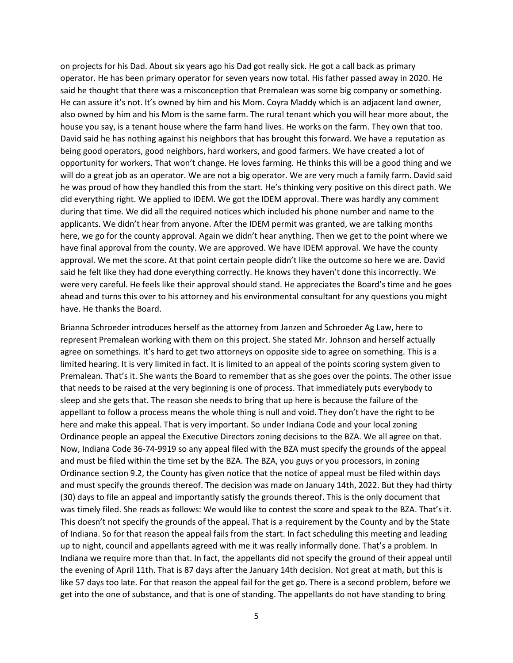on projects for his Dad. About six years ago his Dad got really sick. He got a call back as primary operator. He has been primary operator for seven years now total. His father passed away in 2020. He said he thought that there was a misconception that Premalean was some big company or something. He can assure it's not. It's owned by him and his Mom. Coyra Maddy which is an adjacent land owner, also owned by him and his Mom is the same farm. The rural tenant which you will hear more about, the house you say, is a tenant house where the farm hand lives. He works on the farm. They own that too. David said he has nothing against his neighbors that has brought this forward. We have a reputation as being good operators, good neighbors, hard workers, and good farmers. We have created a lot of opportunity for workers. That won't change. He loves farming. He thinks this will be a good thing and we will do a great job as an operator. We are not a big operator. We are very much a family farm. David said he was proud of how they handled this from the start. He's thinking very positive on this direct path. We did everything right. We applied to IDEM. We got the IDEM approval. There was hardly any comment during that time. We did all the required notices which included his phone number and name to the applicants. We didn't hear from anyone. After the IDEM permit was granted, we are talking months here, we go for the county approval. Again we didn't hear anything. Then we get to the point where we have final approval from the county. We are approved. We have IDEM approval. We have the county approval. We met the score. At that point certain people didn't like the outcome so here we are. David said he felt like they had done everything correctly. He knows they haven't done this incorrectly. We were very careful. He feels like their approval should stand. He appreciates the Board's time and he goes ahead and turns this over to his attorney and his environmental consultant for any questions you might have. He thanks the Board.

Brianna Schroeder introduces herself as the attorney from Janzen and Schroeder Ag Law, here to represent Premalean working with them on this project. She stated Mr. Johnson and herself actually agree on somethings. It's hard to get two attorneys on opposite side to agree on something. This is a limited hearing. It is very limited in fact. It is limited to an appeal of the points scoring system given to Premalean. That's it. She wants the Board to remember that as she goes over the points. The other issue that needs to be raised at the very beginning is one of process. That immediately puts everybody to sleep and she gets that. The reason she needs to bring that up here is because the failure of the appellant to follow a process means the whole thing is null and void. They don't have the right to be here and make this appeal. That is very important. So under Indiana Code and your local zoning Ordinance people an appeal the Executive Directors zoning decisions to the BZA. We all agree on that. Now, Indiana Code 36-74-9919 so any appeal filed with the BZA must specify the grounds of the appeal and must be filed within the time set by the BZA. The BZA, you guys or you processors, in zoning Ordinance section 9.2, the County has given notice that the notice of appeal must be filed within days and must specify the grounds thereof. The decision was made on January 14th, 2022. But they had thirty (30) days to file an appeal and importantly satisfy the grounds thereof. This is the only document that was timely filed. She reads as follows: We would like to contest the score and speak to the BZA. That's it. This doesn't not specify the grounds of the appeal. That is a requirement by the County and by the State of Indiana. So for that reason the appeal fails from the start. In fact scheduling this meeting and leading up to night, council and appellants agreed with me it was really informally done. That's a problem. In Indiana we require more than that. In fact, the appellants did not specify the ground of their appeal until the evening of April 11th. That is 87 days after the January 14th decision. Not great at math, but this is like 57 days too late. For that reason the appeal fail for the get go. There is a second problem, before we get into the one of substance, and that is one of standing. The appellants do not have standing to bring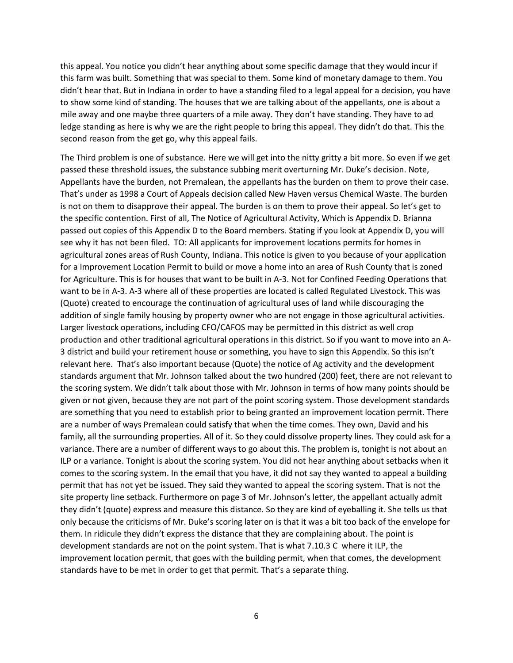this appeal. You notice you didn't hear anything about some specific damage that they would incur if this farm was built. Something that was special to them. Some kind of monetary damage to them. You didn't hear that. But in Indiana in order to have a standing filed to a legal appeal for a decision, you have to show some kind of standing. The houses that we are talking about of the appellants, one is about a mile away and one maybe three quarters of a mile away. They don't have standing. They have to ad ledge standing as here is why we are the right people to bring this appeal. They didn't do that. This the second reason from the get go, why this appeal fails.

The Third problem is one of substance. Here we will get into the nitty gritty a bit more. So even if we get passed these threshold issues, the substance subbing merit overturning Mr. Duke's decision. Note, Appellants have the burden, not Premalean, the appellants has the burden on them to prove their case. That's under as 1998 a Court of Appeals decision called New Haven versus Chemical Waste. The burden is not on them to disapprove their appeal. The burden is on them to prove their appeal. So let's get to the specific contention. First of all, The Notice of Agricultural Activity, Which is Appendix D. Brianna passed out copies of this Appendix D to the Board members. Stating if you look at Appendix D, you will see why it has not been filed. TO: All applicants for improvement locations permits for homes in agricultural zones areas of Rush County, Indiana. This notice is given to you because of your application for a Improvement Location Permit to build or move a home into an area of Rush County that is zoned for Agriculture. This is for houses that want to be built in A-3. Not for Confined Feeding Operations that want to be in A-3. A-3 where all of these properties are located is called Regulated Livestock. This was (Quote) created to encourage the continuation of agricultural uses of land while discouraging the addition of single family housing by property owner who are not engage in those agricultural activities. Larger livestock operations, including CFO/CAFOS may be permitted in this district as well crop production and other traditional agricultural operations in this district. So if you want to move into an A-3 district and build your retirement house or something, you have to sign this Appendix. So this isn't relevant here. That's also important because (Quote) the notice of Ag activity and the development standards argument that Mr. Johnson talked about the two hundred (200) feet, there are not relevant to the scoring system. We didn't talk about those with Mr. Johnson in terms of how many points should be given or not given, because they are not part of the point scoring system. Those development standards are something that you need to establish prior to being granted an improvement location permit. There are a number of ways Premalean could satisfy that when the time comes. They own, David and his family, all the surrounding properties. All of it. So they could dissolve property lines. They could ask for a variance. There are a number of different ways to go about this. The problem is, tonight is not about an ILP or a variance. Tonight is about the scoring system. You did not hear anything about setbacks when it comes to the scoring system. In the email that you have, it did not say they wanted to appeal a building permit that has not yet be issued. They said they wanted to appeal the scoring system. That is not the site property line setback. Furthermore on page 3 of Mr. Johnson's letter, the appellant actually admit they didn't (quote) express and measure this distance. So they are kind of eyeballing it. She tells us that only because the criticisms of Mr. Duke's scoring later on is that it was a bit too back of the envelope for them. In ridicule they didn't express the distance that they are complaining about. The point is development standards are not on the point system. That is what 7.10.3 C where it ILP, the improvement location permit, that goes with the building permit, when that comes, the development standards have to be met in order to get that permit. That's a separate thing.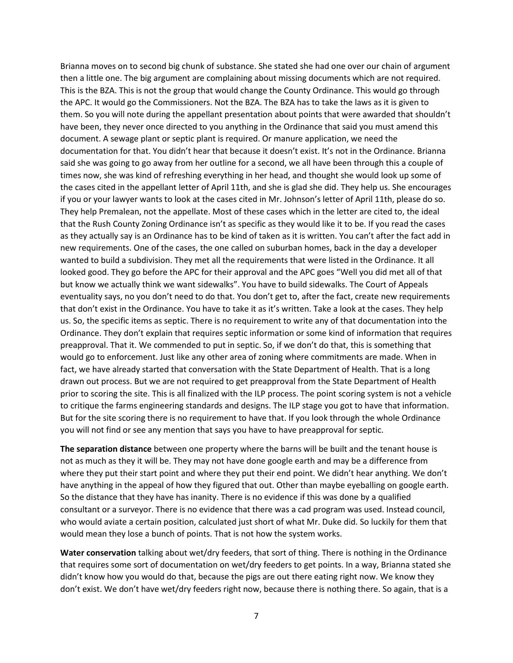Brianna moves on to second big chunk of substance. She stated she had one over our chain of argument then a little one. The big argument are complaining about missing documents which are not required. This is the BZA. This is not the group that would change the County Ordinance. This would go through the APC. It would go the Commissioners. Not the BZA. The BZA has to take the laws as it is given to them. So you will note during the appellant presentation about points that were awarded that shouldn't have been, they never once directed to you anything in the Ordinance that said you must amend this document. A sewage plant or septic plant is required. Or manure application, we need the documentation for that. You didn't hear that because it doesn't exist. It's not in the Ordinance. Brianna said she was going to go away from her outline for a second, we all have been through this a couple of times now, she was kind of refreshing everything in her head, and thought she would look up some of the cases cited in the appellant letter of April 11th, and she is glad she did. They help us. She encourages if you or your lawyer wants to look at the cases cited in Mr. Johnson's letter of April 11th, please do so. They help Premalean, not the appellate. Most of these cases which in the letter are cited to, the ideal that the Rush County Zoning Ordinance isn't as specific as they would like it to be. If you read the cases as they actually say is an Ordinance has to be kind of taken as it is written. You can't after the fact add in new requirements. One of the cases, the one called on suburban homes, back in the day a developer wanted to build a subdivision. They met all the requirements that were listed in the Ordinance. It all looked good. They go before the APC for their approval and the APC goes "Well you did met all of that but know we actually think we want sidewalks". You have to build sidewalks. The Court of Appeals eventuality says, no you don't need to do that. You don't get to, after the fact, create new requirements that don't exist in the Ordinance. You have to take it as it's written. Take a look at the cases. They help us. So, the specific items as septic. There is no requirement to write any of that documentation into the Ordinance. They don't explain that requires septic information or some kind of information that requires preapproval. That it. We commended to put in septic. So, if we don't do that, this is something that would go to enforcement. Just like any other area of zoning where commitments are made. When in fact, we have already started that conversation with the State Department of Health. That is a long drawn out process. But we are not required to get preapproval from the State Department of Health prior to scoring the site. This is all finalized with the ILP process. The point scoring system is not a vehicle to critique the farms engineering standards and designs. The ILP stage you got to have that information. But for the site scoring there is no requirement to have that. If you look through the whole Ordinance you will not find or see any mention that says you have to have preapproval for septic.

**The separation distance** between one property where the barns will be built and the tenant house is not as much as they it will be. They may not have done google earth and may be a difference from where they put their start point and where they put their end point. We didn't hear anything. We don't have anything in the appeal of how they figured that out. Other than maybe eyeballing on google earth. So the distance that they have has inanity. There is no evidence if this was done by a qualified consultant or a surveyor. There is no evidence that there was a cad program was used. Instead council, who would aviate a certain position, calculated just short of what Mr. Duke did. So luckily for them that would mean they lose a bunch of points. That is not how the system works.

**Water conservation** talking about wet/dry feeders, that sort of thing. There is nothing in the Ordinance that requires some sort of documentation on wet/dry feeders to get points. In a way, Brianna stated she didn't know how you would do that, because the pigs are out there eating right now. We know they don't exist. We don't have wet/dry feeders right now, because there is nothing there. So again, that is a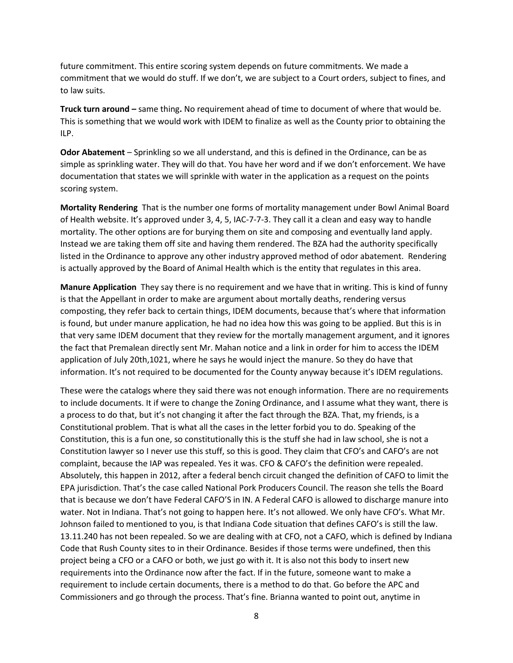future commitment. This entire scoring system depends on future commitments. We made a commitment that we would do stuff. If we don't, we are subject to a Court orders, subject to fines, and to law suits.

**Truck turn around –** same thing**.** No requirement ahead of time to document of where that would be. This is something that we would work with IDEM to finalize as well as the County prior to obtaining the ILP.

**Odor Abatement** – Sprinkling so we all understand, and this is defined in the Ordinance, can be as simple as sprinkling water. They will do that. You have her word and if we don't enforcement. We have documentation that states we will sprinkle with water in the application as a request on the points scoring system.

**Mortality Rendering** That is the number one forms of mortality management under Bowl Animal Board of Health website. It's approved under 3, 4, 5, IAC-7-7-3. They call it a clean and easy way to handle mortality. The other options are for burying them on site and composing and eventually land apply. Instead we are taking them off site and having them rendered. The BZA had the authority specifically listed in the Ordinance to approve any other industry approved method of odor abatement. Rendering is actually approved by the Board of Animal Health which is the entity that regulates in this area.

**Manure Application** They say there is no requirement and we have that in writing. This is kind of funny is that the Appellant in order to make are argument about mortally deaths, rendering versus composting, they refer back to certain things, IDEM documents, because that's where that information is found, but under manure application, he had no idea how this was going to be applied. But this is in that very same IDEM document that they review for the mortally management argument, and it ignores the fact that Premalean directly sent Mr. Mahan notice and a link in order for him to access the IDEM application of July 20th,1021, where he says he would inject the manure. So they do have that information. It's not required to be documented for the County anyway because it's IDEM regulations.

These were the catalogs where they said there was not enough information. There are no requirements to include documents. It if were to change the Zoning Ordinance, and I assume what they want, there is a process to do that, but it's not changing it after the fact through the BZA. That, my friends, is a Constitutional problem. That is what all the cases in the letter forbid you to do. Speaking of the Constitution, this is a fun one, so constitutionally this is the stuff she had in law school, she is not a Constitution lawyer so I never use this stuff, so this is good. They claim that CFO's and CAFO's are not complaint, because the IAP was repealed. Yes it was. CFO & CAFO's the definition were repealed. Absolutely, this happen in 2012, after a federal bench circuit changed the definition of CAFO to limit the EPA jurisdiction. That's the case called National Pork Producers Council. The reason she tells the Board that is because we don't have Federal CAFO'S in IN. A Federal CAFO is allowed to discharge manure into water. Not in Indiana. That's not going to happen here. It's not allowed. We only have CFO's. What Mr. Johnson failed to mentioned to you, is that Indiana Code situation that defines CAFO's is still the law. 13.11.240 has not been repealed. So we are dealing with at CFO, not a CAFO, which is defined by Indiana Code that Rush County sites to in their Ordinance. Besides if those terms were undefined, then this project being a CFO or a CAFO or both, we just go with it. It is also not this body to insert new requirements into the Ordinance now after the fact. If in the future, someone want to make a requirement to include certain documents, there is a method to do that. Go before the APC and Commissioners and go through the process. That's fine. Brianna wanted to point out, anytime in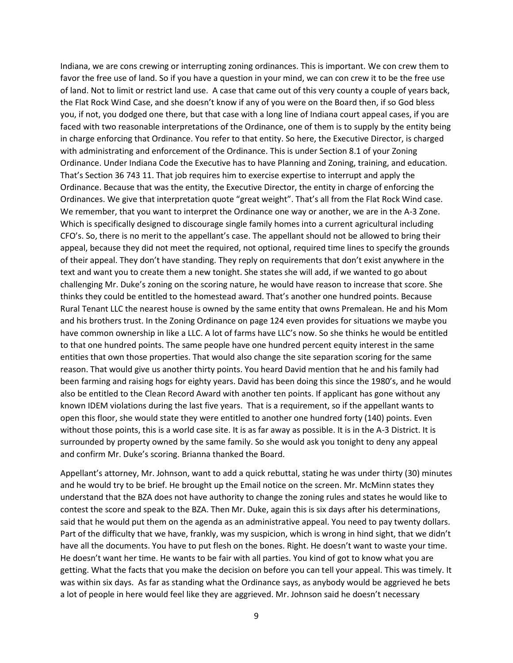Indiana, we are cons crewing or interrupting zoning ordinances. This is important. We con crew them to favor the free use of land. So if you have a question in your mind, we can con crew it to be the free use of land. Not to limit or restrict land use. A case that came out of this very county a couple of years back, the Flat Rock Wind Case, and she doesn't know if any of you were on the Board then, if so God bless you, if not, you dodged one there, but that case with a long line of Indiana court appeal cases, if you are faced with two reasonable interpretations of the Ordinance, one of them is to supply by the entity being in charge enforcing that Ordinance. You refer to that entity. So here, the Executive Director, is charged with administrating and enforcement of the Ordinance. This is under Section 8.1 of your Zoning Ordinance. Under Indiana Code the Executive has to have Planning and Zoning, training, and education. That's Section 36 743 11. That job requires him to exercise expertise to interrupt and apply the Ordinance. Because that was the entity, the Executive Director, the entity in charge of enforcing the Ordinances. We give that interpretation quote "great weight". That's all from the Flat Rock Wind case. We remember, that you want to interpret the Ordinance one way or another, we are in the A-3 Zone. Which is specifically designed to discourage single family homes into a current agricultural including CFO's. So, there is no merit to the appellant's case. The appellant should not be allowed to bring their appeal, because they did not meet the required, not optional, required time lines to specify the grounds of their appeal. They don't have standing. They reply on requirements that don't exist anywhere in the text and want you to create them a new tonight. She states she will add, if we wanted to go about challenging Mr. Duke's zoning on the scoring nature, he would have reason to increase that score. She thinks they could be entitled to the homestead award. That's another one hundred points. Because Rural Tenant LLC the nearest house is owned by the same entity that owns Premalean. He and his Mom and his brothers trust. In the Zoning Ordinance on page 124 even provides for situations we maybe you have common ownership in like a LLC. A lot of farms have LLC's now. So she thinks he would be entitled to that one hundred points. The same people have one hundred percent equity interest in the same entities that own those properties. That would also change the site separation scoring for the same reason. That would give us another thirty points. You heard David mention that he and his family had been farming and raising hogs for eighty years. David has been doing this since the 1980's, and he would also be entitled to the Clean Record Award with another ten points. If applicant has gone without any known IDEM violations during the last five years. That is a requirement, so if the appellant wants to open this floor, she would state they were entitled to another one hundred forty (140) points. Even without those points, this is a world case site. It is as far away as possible. It is in the A-3 District. It is surrounded by property owned by the same family. So she would ask you tonight to deny any appeal and confirm Mr. Duke's scoring. Brianna thanked the Board.

Appellant's attorney, Mr. Johnson, want to add a quick rebuttal, stating he was under thirty (30) minutes and he would try to be brief. He brought up the Email notice on the screen. Mr. McMinn states they understand that the BZA does not have authority to change the zoning rules and states he would like to contest the score and speak to the BZA. Then Mr. Duke, again this is six days after his determinations, said that he would put them on the agenda as an administrative appeal. You need to pay twenty dollars. Part of the difficulty that we have, frankly, was my suspicion, which is wrong in hind sight, that we didn't have all the documents. You have to put flesh on the bones. Right. He doesn't want to waste your time. He doesn't want her time. He wants to be fair with all parties. You kind of got to know what you are getting. What the facts that you make the decision on before you can tell your appeal. This was timely. It was within six days. As far as standing what the Ordinance says, as anybody would be aggrieved he bets a lot of people in here would feel like they are aggrieved. Mr. Johnson said he doesn't necessary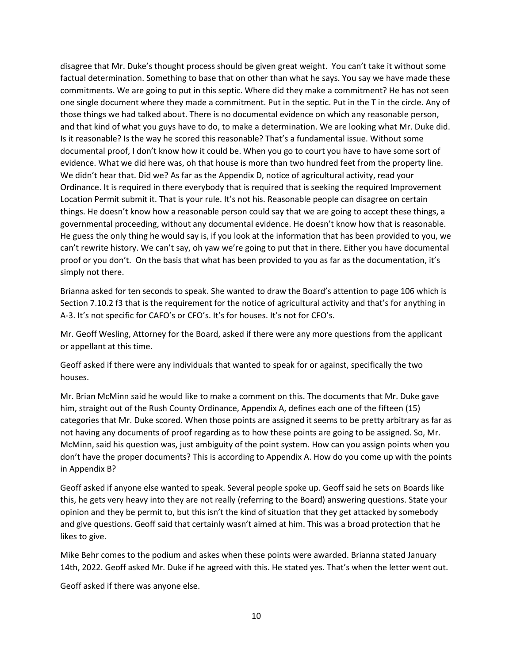disagree that Mr. Duke's thought process should be given great weight. You can't take it without some factual determination. Something to base that on other than what he says. You say we have made these commitments. We are going to put in this septic. Where did they make a commitment? He has not seen one single document where they made a commitment. Put in the septic. Put in the T in the circle. Any of those things we had talked about. There is no documental evidence on which any reasonable person, and that kind of what you guys have to do, to make a determination. We are looking what Mr. Duke did. Is it reasonable? Is the way he scored this reasonable? That's a fundamental issue. Without some documental proof, I don't know how it could be. When you go to court you have to have some sort of evidence. What we did here was, oh that house is more than two hundred feet from the property line. We didn't hear that. Did we? As far as the Appendix D, notice of agricultural activity, read your Ordinance. It is required in there everybody that is required that is seeking the required Improvement Location Permit submit it. That is your rule. It's not his. Reasonable people can disagree on certain things. He doesn't know how a reasonable person could say that we are going to accept these things, a governmental proceeding, without any documental evidence. He doesn't know how that is reasonable. He guess the only thing he would say is, if you look at the information that has been provided to you, we can't rewrite history. We can't say, oh yaw we're going to put that in there. Either you have documental proof or you don't. On the basis that what has been provided to you as far as the documentation, it's simply not there.

Brianna asked for ten seconds to speak. She wanted to draw the Board's attention to page 106 which is Section 7.10.2 f3 that is the requirement for the notice of agricultural activity and that's for anything in A-3. It's not specific for CAFO's or CFO's. It's for houses. It's not for CFO's.

Mr. Geoff Wesling, Attorney for the Board, asked if there were any more questions from the applicant or appellant at this time.

Geoff asked if there were any individuals that wanted to speak for or against, specifically the two houses.

Mr. Brian McMinn said he would like to make a comment on this. The documents that Mr. Duke gave him, straight out of the Rush County Ordinance, Appendix A, defines each one of the fifteen (15) categories that Mr. Duke scored. When those points are assigned it seems to be pretty arbitrary as far as not having any documents of proof regarding as to how these points are going to be assigned. So, Mr. McMinn, said his question was, just ambiguity of the point system. How can you assign points when you don't have the proper documents? This is according to Appendix A. How do you come up with the points in Appendix B?

Geoff asked if anyone else wanted to speak. Several people spoke up. Geoff said he sets on Boards like this, he gets very heavy into they are not really (referring to the Board) answering questions. State your opinion and they be permit to, but this isn't the kind of situation that they get attacked by somebody and give questions. Geoff said that certainly wasn't aimed at him. This was a broad protection that he likes to give.

Mike Behr comes to the podium and askes when these points were awarded. Brianna stated January 14th, 2022. Geoff asked Mr. Duke if he agreed with this. He stated yes. That's when the letter went out.

Geoff asked if there was anyone else.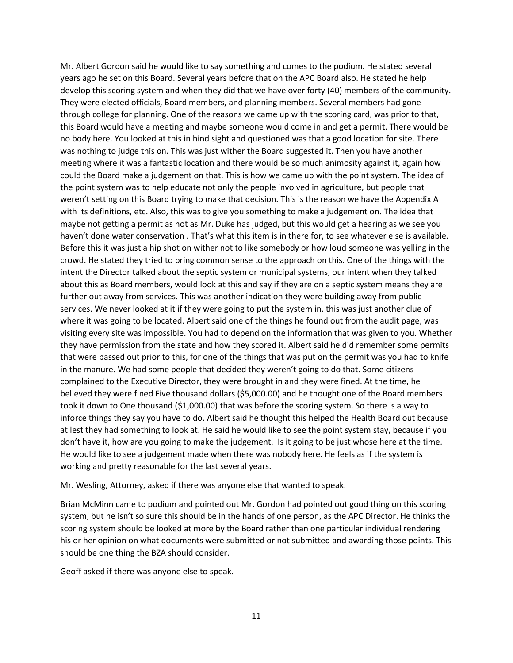Mr. Albert Gordon said he would like to say something and comes to the podium. He stated several years ago he set on this Board. Several years before that on the APC Board also. He stated he help develop this scoring system and when they did that we have over forty (40) members of the community. They were elected officials, Board members, and planning members. Several members had gone through college for planning. One of the reasons we came up with the scoring card, was prior to that, this Board would have a meeting and maybe someone would come in and get a permit. There would be no body here. You looked at this in hind sight and questioned was that a good location for site. There was nothing to judge this on. This was just wither the Board suggested it. Then you have another meeting where it was a fantastic location and there would be so much animosity against it, again how could the Board make a judgement on that. This is how we came up with the point system. The idea of the point system was to help educate not only the people involved in agriculture, but people that weren't setting on this Board trying to make that decision. This is the reason we have the Appendix A with its definitions, etc. Also, this was to give you something to make a judgement on. The idea that maybe not getting a permit as not as Mr. Duke has judged, but this would get a hearing as we see you haven't done water conservation . That's what this item is in there for, to see whatever else is available. Before this it was just a hip shot on wither not to like somebody or how loud someone was yelling in the crowd. He stated they tried to bring common sense to the approach on this. One of the things with the intent the Director talked about the septic system or municipal systems, our intent when they talked about this as Board members, would look at this and say if they are on a septic system means they are further out away from services. This was another indication they were building away from public services. We never looked at it if they were going to put the system in, this was just another clue of where it was going to be located. Albert said one of the things he found out from the audit page, was visiting every site was impossible. You had to depend on the information that was given to you. Whether they have permission from the state and how they scored it. Albert said he did remember some permits that were passed out prior to this, for one of the things that was put on the permit was you had to knife in the manure. We had some people that decided they weren't going to do that. Some citizens complained to the Executive Director, they were brought in and they were fined. At the time, he believed they were fined Five thousand dollars (\$5,000.00) and he thought one of the Board members took it down to One thousand (\$1,000.00) that was before the scoring system. So there is a way to inforce things they say you have to do. Albert said he thought this helped the Health Board out because at lest they had something to look at. He said he would like to see the point system stay, because if you don't have it, how are you going to make the judgement. Is it going to be just whose here at the time. He would like to see a judgement made when there was nobody here. He feels as if the system is working and pretty reasonable for the last several years.

Mr. Wesling, Attorney, asked if there was anyone else that wanted to speak.

Brian McMinn came to podium and pointed out Mr. Gordon had pointed out good thing on this scoring system, but he isn't so sure this should be in the hands of one person, as the APC Director. He thinks the scoring system should be looked at more by the Board rather than one particular individual rendering his or her opinion on what documents were submitted or not submitted and awarding those points. This should be one thing the BZA should consider.

Geoff asked if there was anyone else to speak.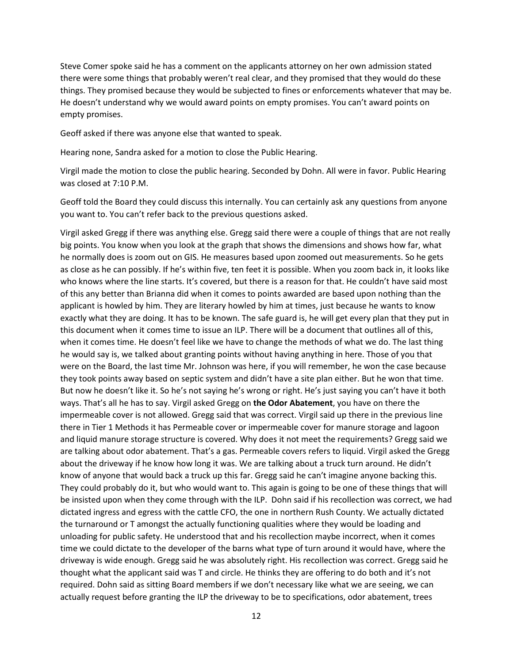Steve Comer spoke said he has a comment on the applicants attorney on her own admission stated there were some things that probably weren't real clear, and they promised that they would do these things. They promised because they would be subjected to fines or enforcements whatever that may be. He doesn't understand why we would award points on empty promises. You can't award points on empty promises.

Geoff asked if there was anyone else that wanted to speak.

Hearing none, Sandra asked for a motion to close the Public Hearing.

Virgil made the motion to close the public hearing. Seconded by Dohn. All were in favor. Public Hearing was closed at 7:10 P.M.

Geoff told the Board they could discuss this internally. You can certainly ask any questions from anyone you want to. You can't refer back to the previous questions asked.

Virgil asked Gregg if there was anything else. Gregg said there were a couple of things that are not really big points. You know when you look at the graph that shows the dimensions and shows how far, what he normally does is zoom out on GIS. He measures based upon zoomed out measurements. So he gets as close as he can possibly. If he's within five, ten feet it is possible. When you zoom back in, it looks like who knows where the line starts. It's covered, but there is a reason for that. He couldn't have said most of this any better than Brianna did when it comes to points awarded are based upon nothing than the applicant is howled by him. They are literary howled by him at times, just because he wants to know exactly what they are doing. It has to be known. The safe guard is, he will get every plan that they put in this document when it comes time to issue an ILP. There will be a document that outlines all of this, when it comes time. He doesn't feel like we have to change the methods of what we do. The last thing he would say is, we talked about granting points without having anything in here. Those of you that were on the Board, the last time Mr. Johnson was here, if you will remember, he won the case because they took points away based on septic system and didn't have a site plan either. But he won that time. But now he doesn't like it. So he's not saying he's wrong or right. He's just saying you can't have it both ways. That's all he has to say. Virgil asked Gregg on **the Odor Abatement**, you have on there the impermeable cover is not allowed. Gregg said that was correct. Virgil said up there in the previous line there in Tier 1 Methods it has Permeable cover or impermeable cover for manure storage and lagoon and liquid manure storage structure is covered. Why does it not meet the requirements? Gregg said we are talking about odor abatement. That's a gas. Permeable covers refers to liquid. Virgil asked the Gregg about the driveway if he know how long it was. We are talking about a truck turn around. He didn't know of anyone that would back a truck up this far. Gregg said he can't imagine anyone backing this. They could probably do it, but who would want to. This again is going to be one of these things that will be insisted upon when they come through with the ILP. Dohn said if his recollection was correct, we had dictated ingress and egress with the cattle CFO, the one in northern Rush County. We actually dictated the turnaround or T amongst the actually functioning qualities where they would be loading and unloading for public safety. He understood that and his recollection maybe incorrect, when it comes time we could dictate to the developer of the barns what type of turn around it would have, where the driveway is wide enough. Gregg said he was absolutely right. His recollection was correct. Gregg said he thought what the applicant said was T and circle. He thinks they are offering to do both and it's not required. Dohn said as sitting Board members if we don't necessary like what we are seeing, we can actually request before granting the ILP the driveway to be to specifications, odor abatement, trees